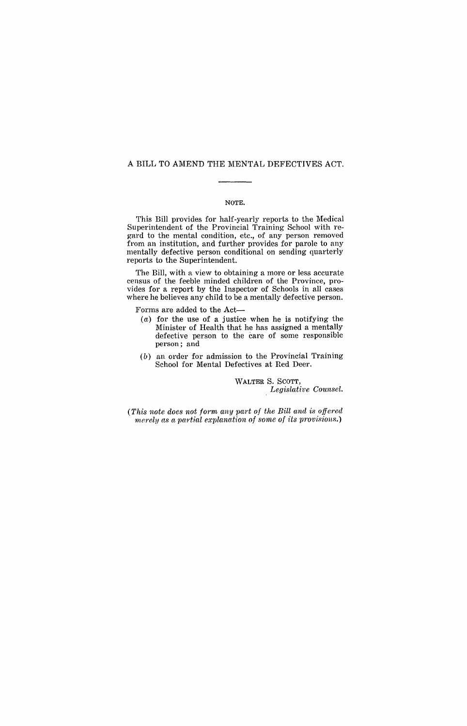### A BILL TO AMEND THE MENTAL DEFECTIVES ACT.

### NOTE.

This Bill provides for half-yearly reports to the Medical Superintendent of the Provincial Training School with regard to the mental condition, etc., of any person removed from an institution, and further provides for parole to any mentally defective person conditional on sending quarterly reports to the Superintendent.

The Bill, with a view to obtaining a more or less accurate census of the feeble minded children of the Province, provides for a report by the Inspector of Schools in all cases where he believes any child to be a mentally defective person.

Forms are added to the Act-

- (a) for the use of a justice when he is notifying the Minister of Health that he has assigned a mentally defective person to the care of some responsible person; and
- (b) an order for admission to the Provincial Training School for Mental Defectives at Red Deer.

WALTER S. SCOTT, *Legislative Counsel.* 

*(This note does not form any part of the Bill and is offered merely as a partial explanation of some of its provisions.)*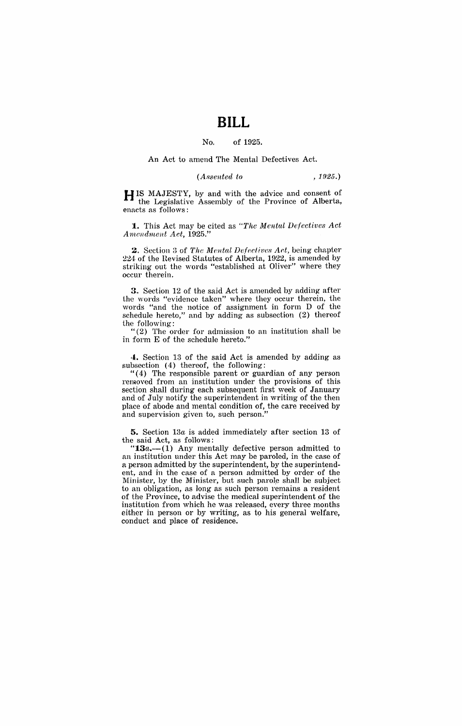# **BILL**

#### No. of 1925.

An Act to amend The Mental Defectives Act.

*(Assented to* ,1925.)

**HIS MAJESTY, by and with the advice and consent of the Legislative Assembly of the Province of Alberta,** enacts as follows:

**1.** This Act may be cited as *"The Mental Defectives Act Amendment Act, 1925.*"

2, Section 3 of *The Mental Defectives Act,* being chapter 224 of the Hevised Statutes of Alberta, 1922, is amended by striking out the words "established at Oliver" where they occur therein.

3. Section 12 of the said Act is amended by adding after the words "evidence taken" where they occur therein, the words "and the notice of assignment in form D of the schedule hereto," and by adding as subsection (2) thereof the following:

"(2) The order for admission to an institution shall be in form E of the schedule hereto."

**4.** Section 13 of the said Act is amended by adding as subsection (4) thereof, the following:

"( 4) The responsible parent or guardian of any person removed from an institution under the provisions of this section shall during each subsequent first week of January and of July notify the superintendent in writing of the then place of abode and mental condition of, the care received by and supervision given to, such person."

**5.** Section *13n* is added immediately after section 13 of the said Act, as follows: .

" $13a$ —(1) Any mentally defective person admitted to an institution under this Act may be paroled, in the case of a person admitted by the superintendent, by the superintendent, and in the case of a person admitted by order of the Minister, by the Minister, but such parole shall be subject to an obligation, as long as such person remains a resident of the Province, to advise the medical superintendent of the institution from which he was released, every three months either in person or by writing, as to his general welfare, conduct and place of residence.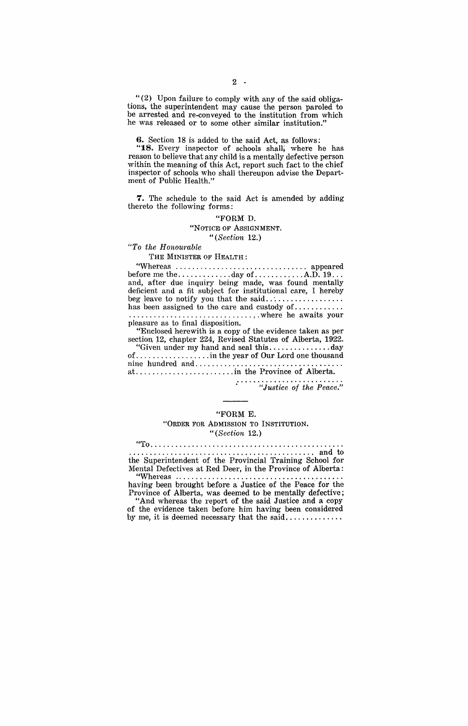"(2) Upon failure to comply with any of the said obligations, the superintendent may cause the person paroled to be arrested and re-conveyed to the institution from which he was released or to some other similar institution."

**6.** Section 18 is added to the said Act, as follows:

"18., Every inspector of schools shall; where he has reason to believe that any child is a mentally defective person within the meaning of this Act, report such fact to the chief inspector of schools who shall thereupon advise the Department of Public Health."

**7.** The schedule to the said Act is amended by adding thereto the following forms:

> "FORM D. "NOTICE OF ASSIGNMENT. *"(Section 12.)*

### *"To the Honourable*

THE MINISTER OF HEALTH:

"Whereas ................................ appeared before me the ............. day of. ........... A.D. 19 .. . and, after due inquiry being made, was found mentally deficient and a fit subject for institutional care, I hereby beg leave to notify you that the said .. ' ................ . has been assigned to the care and custody of ............ . . . . . . . . . . . . . . . . . . . . . . . . . . . . . . , . where he awaits your pleasure as to fmal disposition.

"'Enclosed herewith is a copy of the evidence taken as per section 12, chapter 224, Revised Statutes of Alberta, 1922. "Given under my hand and seal this ............... day of .................. in the year of Our Lord one thousand nine hundred and ................................... .

at ........................ in the Province of Alberta.

*"Justice of the Peace."* 

#### "FORM E.

### "ORDER FOR ADMISSION TO INSTITUTION. *"(Section 12.)*

"To .............................................. .

.... ...... ... . , .............................. and to the Superintendent of the Provincial Training School for Mentai Defectives at Red Deer, in the Province of Alberta:

"Whereas ................ having been brought before a Justice of the Peace for the Province of Alberta, was deemed to be mentally defective;

"And whereas the report of the said Justice and a copy of the evidence taken before him having been considered by me, it is deemed necessary that the said...............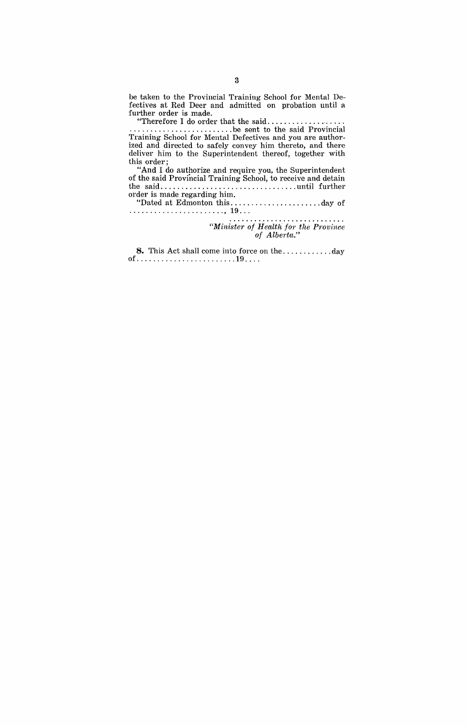be taken to the Provincial Training School for Mental Defectives at Red Deer and admitted on probation until a further order is made.<br>
"Therefore I do order that the said........

"Therefore I do order that the said ................... . . . . . . . . . . . . . . . . . . . . . . . . . . be sent to the said Provincial Training School for Mental Defectives and you are authorized and directed to safely convey him thereto, and there deliver him to the Superintendent thereof, together with this order;

"And I do authorize and require you, the Superintendent of the said Provincial Training School, to receive and detain the said ................................. until further order is made regarding him.

"Dated at Edmonton this .............. " ...... day of ....................... , 19 .. .

. . . . . . . . . . . . . . . . . . . . *"Minister of Health for the Province of Alberta."* 

**8.** This Act shall come into force on the ............ day of ........................ 19 ... .